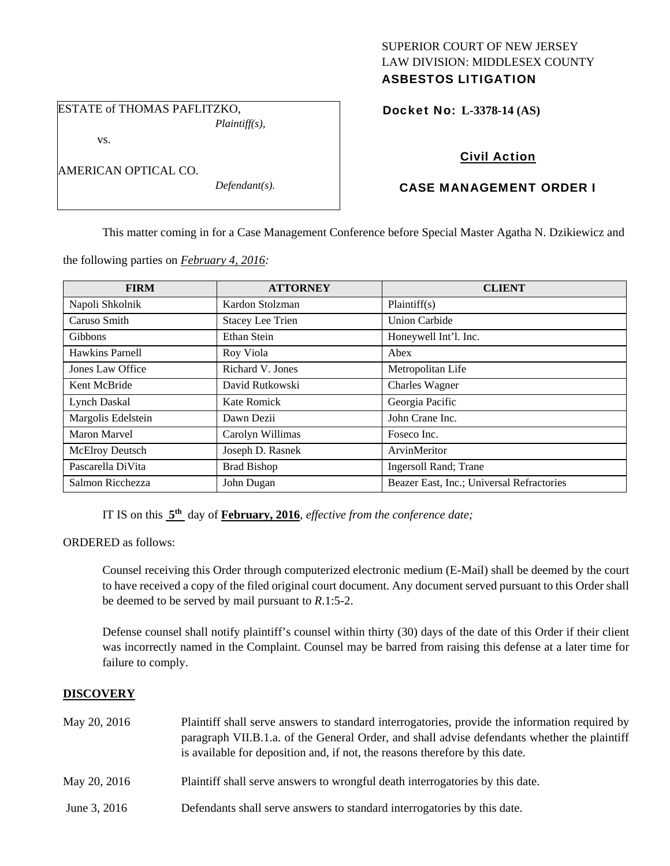## SUPERIOR COURT OF NEW JERSEY LAW DIVISION: MIDDLESEX COUNTY ASBESTOS LITIGATION

ESTATE of THOMAS PAFLITZKO, *Plaintiff(s),* 

vs.

AMERICAN OPTICAL CO.

*Defendant(s).* 

Docket No: **L-3378-14 (AS)** 

# Civil Action

# CASE MANAGEMENT ORDER I

This matter coming in for a Case Management Conference before Special Master Agatha N. Dzikiewicz and

the following parties on *February 4, 2016:* 

| <b>FIRM</b>            | <b>ATTORNEY</b>         | <b>CLIENT</b>                             |
|------------------------|-------------------------|-------------------------------------------|
| Napoli Shkolnik        | Kardon Stolzman         | Plaintiff(s)                              |
| Caruso Smith           | <b>Stacey Lee Trien</b> | <b>Union Carbide</b>                      |
| <b>Gibbons</b>         | Ethan Stein             | Honeywell Int'l. Inc.                     |
| Hawkins Parnell        | Roy Viola               | Abex                                      |
| Jones Law Office       | Richard V. Jones        | Metropolitan Life                         |
| Kent McBride           | David Rutkowski         | <b>Charles Wagner</b>                     |
| <b>Lynch Daskal</b>    | Kate Romick             | Georgia Pacific                           |
| Margolis Edelstein     | Dawn Dezii              | John Crane Inc.                           |
| Maron Marvel           | Carolyn Willimas        | Foseco Inc.                               |
| <b>McElroy Deutsch</b> | Joseph D. Rasnek        | ArvinMeritor                              |
| Pascarella DiVita      | <b>Brad Bishop</b>      | <b>Ingersoll Rand</b> ; Trane             |
| Salmon Ricchezza       | John Dugan              | Beazer East, Inc.; Universal Refractories |

IT IS on this **5th** day of **February, 2016**, *effective from the conference date;*

ORDERED as follows:

Counsel receiving this Order through computerized electronic medium (E-Mail) shall be deemed by the court to have received a copy of the filed original court document. Any document served pursuant to this Order shall be deemed to be served by mail pursuant to *R*.1:5-2.

Defense counsel shall notify plaintiff's counsel within thirty (30) days of the date of this Order if their client was incorrectly named in the Complaint. Counsel may be barred from raising this defense at a later time for failure to comply.

# **DISCOVERY**

| May 20, 2016 | Plaintiff shall serve answers to standard interrogatories, provide the information required by<br>paragraph VII.B.1.a. of the General Order, and shall advise defendants whether the plaintiff<br>is available for deposition and, if not, the reasons therefore by this date. |
|--------------|--------------------------------------------------------------------------------------------------------------------------------------------------------------------------------------------------------------------------------------------------------------------------------|
| May 20, 2016 | Plaintiff shall serve answers to wrongful death interrogatories by this date.                                                                                                                                                                                                  |
| June 3, 2016 | Defendants shall serve answers to standard interrogatories by this date.                                                                                                                                                                                                       |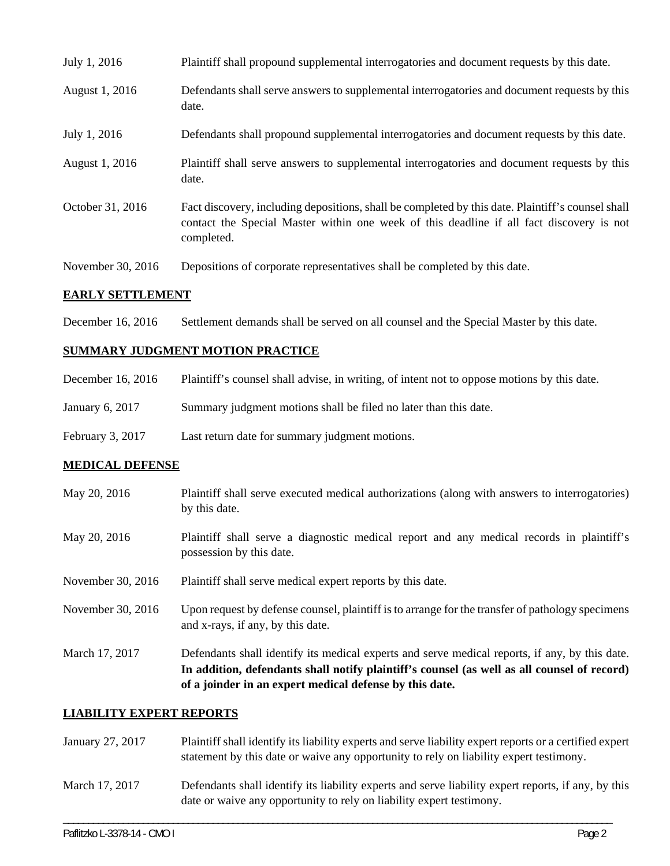| July 1, 2016      | Plaintiff shall propound supplemental interrogatories and document requests by this date.                                                                                                                   |
|-------------------|-------------------------------------------------------------------------------------------------------------------------------------------------------------------------------------------------------------|
| August 1, 2016    | Defendants shall serve answers to supplemental interrogatories and document requests by this<br>date.                                                                                                       |
| July 1, 2016      | Defendants shall propound supplemental interrogatories and document requests by this date.                                                                                                                  |
| August 1, 2016    | Plaintiff shall serve answers to supplemental interrogatories and document requests by this<br>date.                                                                                                        |
| October 31, 2016  | Fact discovery, including depositions, shall be completed by this date. Plaintiff's counsel shall<br>contact the Special Master within one week of this deadline if all fact discovery is not<br>completed. |
| November 30, 2016 | Depositions of corporate representatives shall be completed by this date.                                                                                                                                   |

### **EARLY SETTLEMENT**

December 16, 2016 Settlement demands shall be served on all counsel and the Special Master by this date.

## **SUMMARY JUDGMENT MOTION PRACTICE**

| December 16, 2016  | Plaintiff's counsel shall advise, in writing, of intent not to oppose motions by this date. |
|--------------------|---------------------------------------------------------------------------------------------|
| January 6, $2017$  | Summary judgment motions shall be filed no later than this date.                            |
| February 3, $2017$ | Last return date for summary judgment motions.                                              |

#### **MEDICAL DEFENSE**

- May 20, 2016 Plaintiff shall serve executed medical authorizations (along with answers to interrogatories) by this date.
- May 20, 2016 Plaintiff shall serve a diagnostic medical report and any medical records in plaintiff's possession by this date.
- November 30, 2016 Plaintiff shall serve medical expert reports by this date.
- November 30, 2016 Upon request by defense counsel, plaintiff is to arrange for the transfer of pathology specimens and x-rays, if any, by this date.
- March 17, 2017 Defendants shall identify its medical experts and serve medical reports, if any, by this date. **In addition, defendants shall notify plaintiff's counsel (as well as all counsel of record) of a joinder in an expert medical defense by this date.**

### **LIABILITY EXPERT REPORTS**

| January 27, 2017 | Plaintiff shall identify its liability experts and serve liability expert reports or a certified expert<br>statement by this date or waive any opportunity to rely on liability expert testimony. |
|------------------|---------------------------------------------------------------------------------------------------------------------------------------------------------------------------------------------------|
| March 17, 2017   | Defendants shall identify its liability experts and serve liability expert reports, if any, by this<br>date or waive any opportunity to rely on liability expert testimony.                       |